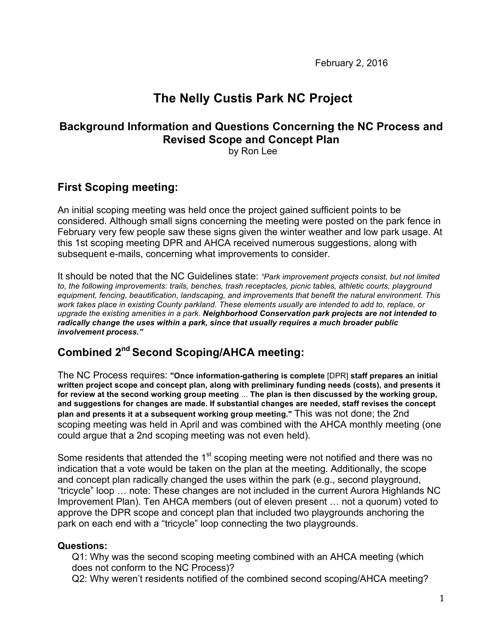February 2, 2016

# **The Nelly Custis Park NC Project**

# **Background Information and Questions Concerning the NC Process and Revised Scope and Concept Plan**

by Ron Lee

# **First Scoping meeting:**

An initial scoping meeting was held once the project gained sufficient points to be considered. Although small signs concerning the meeting were posted on the park fence in February very few people saw these signs given the winter weather and low park usage. At this 1st scoping meeting DPR and AHCA received numerous suggestions, along with subsequent e-mails, concerning what improvements to consider.

It should be noted that the NC Guidelines state: *"Park improvement projects consist, but not limited to, the following improvements: trails, benches, trash receptacles, picnic tables, athletic courts, playground equipment, fencing, beautification, landscaping, and improvements that benefit the natural environment. This work takes place in existing County parkland. These elements usually are intended to add to, replace, or upgrade the existing amenities in a park. Neighborhood Conservation park projects are not intended to radically change the uses within a park, since that usually requires a much broader public involvement process."*

# **Combined 2nd Second Scoping/AHCA meeting:**

The NC Process requires: **"Once information-gathering is complete** [DPR] **staff prepares an initial written project scope and concept plan, along with preliminary funding needs (costs), and presents it for review at the second working group meeting** ... **The plan is then discussed by the working group, and suggestions for changes are made. If substantial changes are needed, staff revises the concept plan and presents it at a subsequent working group meeting."** This was not done; the 2nd scoping meeting was held in April and was combined with the AHCA monthly meeting (one could argue that a 2nd scoping meeting was not even held).

Some residents that attended the 1<sup>st</sup> scoping meeting were not notified and there was no indication that a vote would be taken on the plan at the meeting. Additionally, the scope and concept plan radically changed the uses within the park (e.g., second playground, "tricycle" loop … note: These changes are not included in the current Aurora Highlands NC Improvement Plan). Ten AHCA members (out of eleven present … not a quorum) voted to approve the DPR scope and concept plan that included two playgrounds anchoring the park on each end with a "tricycle" loop connecting the two playgrounds.

### **Questions:**

Q1: Why was the second scoping meeting combined with an AHCA meeting (which does not conform to the NC Process)?

Q2: Why weren't residents notified of the combined second scoping/AHCA meeting?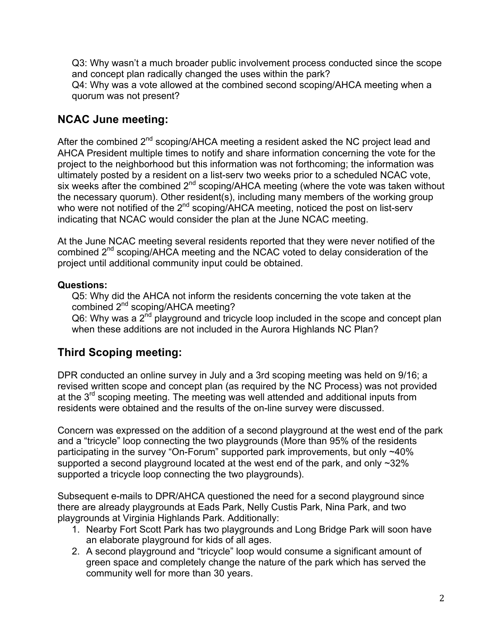Q3: Why wasn't a much broader public involvement process conducted since the scope and concept plan radically changed the uses within the park? Q4: Why was a vote allowed at the combined second scoping/AHCA meeting when a quorum was not present?

# **NCAC June meeting:**

After the combined 2<sup>nd</sup> scoping/AHCA meeting a resident asked the NC project lead and AHCA President multiple times to notify and share information concerning the vote for the project to the neighborhood but this information was not forthcoming; the information was ultimately posted by a resident on a list-serv two weeks prior to a scheduled NCAC vote, six weeks after the combined 2<sup>nd</sup> scoping/AHCA meeting (where the vote was taken without the necessary quorum). Other resident(s), including many members of the working group who were not notified of the  $2^{nd}$  scoping/AHCA meeting, noticed the post on list-serv indicating that NCAC would consider the plan at the June NCAC meeting.

At the June NCAC meeting several residents reported that they were never notified of the combined 2<sup>nd</sup> scoping/AHCA meeting and the NCAC voted to delay consideration of the project until additional community input could be obtained.

### **Questions:**

Q5: Why did the AHCA not inform the residents concerning the vote taken at the combined 2<sup>nd</sup> scoping/AHCA meeting?

 $Q6$ : Why was a  $2<sup>nd</sup>$  playground and tricycle loop included in the scope and concept plan when these additions are not included in the Aurora Highlands NC Plan?

# **Third Scoping meeting:**

DPR conducted an online survey in July and a 3rd scoping meeting was held on 9/16; a revised written scope and concept plan (as required by the NC Process) was not provided at the 3rd scoping meeting. The meeting was well attended and additional inputs from residents were obtained and the results of the on-line survey were discussed.

Concern was expressed on the addition of a second playground at the west end of the park and a "tricycle" loop connecting the two playgrounds (More than 95% of the residents participating in the survey "On-Forum" supported park improvements, but only ~40% supported a second playground located at the west end of the park, and only ~32% supported a tricycle loop connecting the two playgrounds).

Subsequent e-mails to DPR/AHCA questioned the need for a second playground since there are already playgrounds at Eads Park, Nelly Custis Park, Nina Park, and two playgrounds at Virginia Highlands Park. Additionally:

- 1. Nearby Fort Scott Park has two playgrounds and Long Bridge Park will soon have an elaborate playground for kids of all ages.
- 2. A second playground and "tricycle" loop would consume a significant amount of green space and completely change the nature of the park which has served the community well for more than 30 years.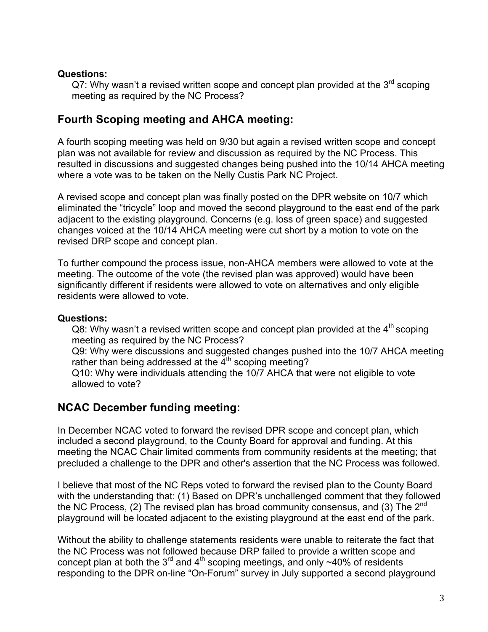#### **Questions:**

Q7: Why wasn't a revised written scope and concept plan provided at the  $3<sup>rd</sup>$  scoping meeting as required by the NC Process?

## **Fourth Scoping meeting and AHCA meeting:**

A fourth scoping meeting was held on 9/30 but again a revised written scope and concept plan was not available for review and discussion as required by the NC Process. This resulted in discussions and suggested changes being pushed into the 10/14 AHCA meeting where a vote was to be taken on the Nelly Custis Park NC Project.

A revised scope and concept plan was finally posted on the DPR website on 10/7 which eliminated the "tricycle" loop and moved the second playground to the east end of the park adjacent to the existing playground. Concerns (e.g. loss of green space) and suggested changes voiced at the 10/14 AHCA meeting were cut short by a motion to vote on the revised DRP scope and concept plan.

To further compound the process issue, non-AHCA members were allowed to vote at the meeting. The outcome of the vote (the revised plan was approved) would have been significantly different if residents were allowed to vote on alternatives and only eligible residents were allowed to vote.

#### **Questions:**

Q8: Why wasn't a revised written scope and concept plan provided at the  $4<sup>th</sup>$  scoping meeting as required by the NC Process?

Q9: Why were discussions and suggested changes pushed into the 10/7 AHCA meeting rather than being addressed at the  $4<sup>th</sup>$  scoping meeting?

Q10: Why were individuals attending the 10/7 AHCA that were not eligible to vote allowed to vote?

# **NCAC December funding meeting:**

In December NCAC voted to forward the revised DPR scope and concept plan, which included a second playground, to the County Board for approval and funding. At this meeting the NCAC Chair limited comments from community residents at the meeting; that precluded a challenge to the DPR and other's assertion that the NC Process was followed.

I believe that most of the NC Reps voted to forward the revised plan to the County Board with the understanding that: (1) Based on DPR's unchallenged comment that they followed the NC Process, (2) The revised plan has broad community consensus, and (3) The  $2^{nd}$ playground will be located adjacent to the existing playground at the east end of the park.

Without the ability to challenge statements residents were unable to reiterate the fact that the NC Process was not followed because DRP failed to provide a written scope and concept plan at both the  $3^{rd}$  and  $4^{th}$  scoping meetings, and only ~40% of residents responding to the DPR on-line "On-Forum" survey in July supported a second playground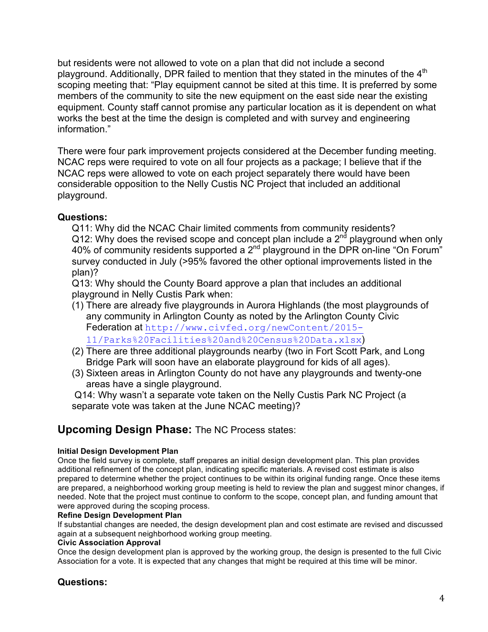but residents were not allowed to vote on a plan that did not include a second playground. Additionally, DPR failed to mention that they stated in the minutes of the 4<sup>th</sup> scoping meeting that: "Play equipment cannot be sited at this time. It is preferred by some members of the community to site the new equipment on the east side near the existing equipment. County staff cannot promise any particular location as it is dependent on what works the best at the time the design is completed and with survey and engineering information."

There were four park improvement projects considered at the December funding meeting. NCAC reps were required to vote on all four projects as a package; I believe that if the NCAC reps were allowed to vote on each project separately there would have been considerable opposition to the Nelly Custis NC Project that included an additional playground.

#### **Questions:**

Q11: Why did the NCAC Chair limited comments from community residents? Q12: Why does the revised scope and concept plan include a  $2<sup>nd</sup>$  playground when only 40% of community residents supported a 2nd playground in the DPR on-line "On Forum" survey conducted in July (>95% favored the other optional improvements listed in the plan)?

Q13: Why should the County Board approve a plan that includes an additional playground in Nelly Custis Park when:

- (1) There are already five playgrounds in Aurora Highlands (the most playgrounds of any community in Arlington County as noted by the Arlington County Civic Federation at http://www.civfed.org/newContent/2015- 11/Parks%20Facilities%20and%20Census%20Data.xlsx)
- (2) There are three additional playgrounds nearby (two in Fort Scott Park, and Long Bridge Park will soon have an elaborate playground for kids of all ages).
- (3) Sixteen areas in Arlington County do not have any playgrounds and twenty-one areas have a single playground.

Q14: Why wasn't a separate vote taken on the Nelly Custis Park NC Project (a separate vote was taken at the June NCAC meeting)?

### **Upcoming Design Phase:** The NC Process states:

#### **Initial Design Development Plan**

Once the field survey is complete, staff prepares an initial design development plan. This plan provides additional refinement of the concept plan, indicating specific materials. A revised cost estimate is also prepared to determine whether the project continues to be within its original funding range. Once these items are prepared, a neighborhood working group meeting is held to review the plan and suggest minor changes, if needed. Note that the project must continue to conform to the scope, concept plan, and funding amount that were approved during the scoping process.

#### **Refine Design Development Plan**

If substantial changes are needed, the design development plan and cost estimate are revised and discussed again at a subsequent neighborhood working group meeting.

#### **Civic Association Approval**

Once the design development plan is approved by the working group, the design is presented to the full Civic Association for a vote. It is expected that any changes that might be required at this time will be minor.

### **Questions:**